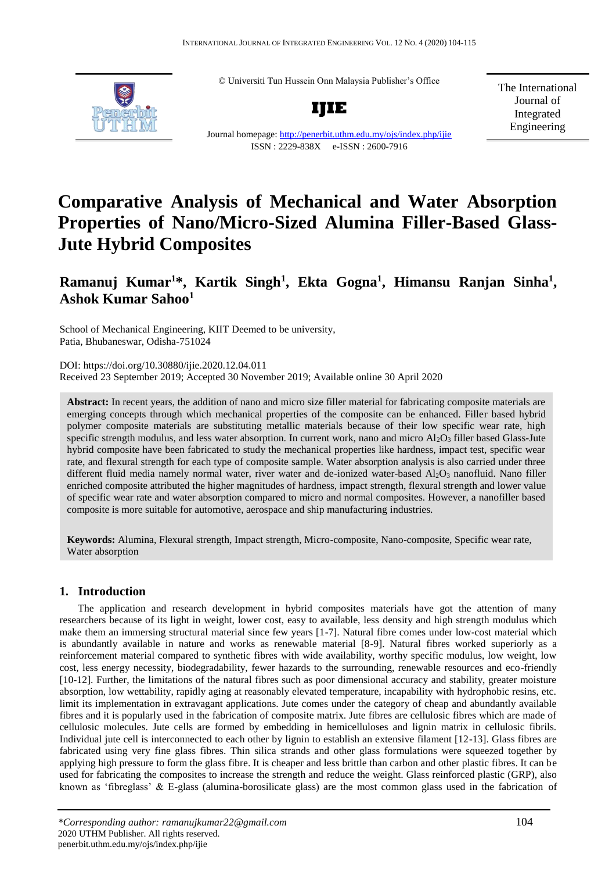© Universiti Tun Hussein Onn Malaysia Publisher's Office



**IJIE**

The International Journal of Integrated Engineering

Journal homepage[: http://penerbit.uthm.edu.my/ojs/index.php/ijie](http://penerbit.uthm.edu.my/ojs/index.php/ijie) ISSN : 2229-838X e-ISSN : 2600-7916

# **Comparative Analysis of Mechanical and Water Absorption Properties of Nano/Micro-Sized Alumina Filler-Based Glass-Jute Hybrid Composites**

# **Ramanuj Kumar<sup>1</sup>\*, Kartik Singh<sup>1</sup> , Ekta Gogna<sup>1</sup> , Himansu Ranjan Sinha<sup>1</sup> , Ashok Kumar Sahoo<sup>1</sup>**

School of Mechanical Engineering, KIIT Deemed to be university, Patia, Bhubaneswar, Odisha-751024

DOI: <https://doi.org/10.30880/ijie.2020.12.04.011> Received 23 September 2019; Accepted 30 November 2019; Available online 30 April 2020

**Abstract:** In recent years, the addition of nano and micro size filler material for fabricating composite materials are emerging concepts through which mechanical properties of the composite can be enhanced. Filler based hybrid polymer composite materials are substituting metallic materials because of their low specific wear rate, high specific strength modulus, and less water absorption. In current work, nano and micro  $A_1_2O_3$  filler based Glass-Jute hybrid composite have been fabricated to study the mechanical properties like hardness, impact test, specific wear rate, and flexural strength for each type of composite sample. Water absorption analysis is also carried under three different fluid media namely normal water, river water and de-ionized water-based  $Al_2O_3$  nanofluid. Nano filler enriched composite attributed the higher magnitudes of hardness, impact strength, flexural strength and lower value of specific wear rate and water absorption compared to micro and normal composites. However, a nanofiller based composite is more suitable for automotive, aerospace and ship manufacturing industries.

**Keywords:** Alumina, Flexural strength, Impact strength, Micro-composite, Nano-composite, Specific wear rate, Water absorption

# **1. Introduction**

The application and research development in hybrid composites materials have got the attention of many researchers because of its light in weight, lower cost, easy to available, less density and high strength modulus which make them an immersing structural material since few years [1-7]. Natural fibre comes under low-cost material which is abundantly available in nature and works as renewable material [8-9]. Natural fibres worked superiorly as a reinforcement material compared to synthetic fibres with wide availability, worthy specific modulus, low weight, low cost, less energy necessity, biodegradability, fewer hazards to the surrounding, renewable resources and eco-friendly [10-12]. Further, the limitations of the natural fibres such as poor dimensional accuracy and stability, greater moisture absorption, low wettability, rapidly aging at reasonably elevated temperature, incapability with hydrophobic resins, etc. limit its implementation in extravagant applications. Jute comes under the category of cheap and abundantly available fibres and it is popularly used in the fabrication of composite matrix. Jute fibres are cellulosic fibres which are made of cellulosic molecules. Jute cells are formed by embedding in hemicelluloses and lignin matrix in cellulosic fibrils. Individual jute cell is interconnected to each other by lignin to establish an extensive filament [12-13]. Glass fibres are fabricated using very fine glass fibres. Thin silica strands and other glass formulations were squeezed together by applying high pressure to form the glass fibre. It is cheaper and less brittle than carbon and other plastic fibres. It can be used for fabricating the composites to increase the strength and reduce the weight. Glass reinforced plastic (GRP), also known as 'fibreglass' & E-glass (alumina-borosilicate glass) are the most common glass used in the fabrication of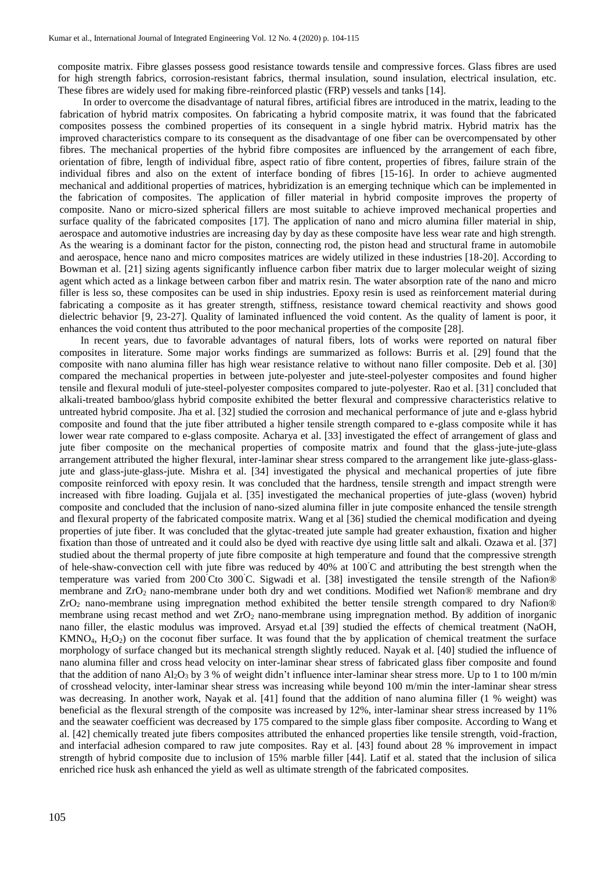composite matrix. Fibre glasses possess good resistance towards tensile and compressive forces. Glass fibres are used for high strength fabrics, corrosion-resistant fabrics, thermal insulation, sound insulation, electrical insulation, etc. These fibres are widely used for making fibre-reinforced plastic (FRP) vessels and tanks [14].

In order to overcome the disadvantage of natural fibres, artificial fibres are introduced in the matrix, leading to the fabrication of hybrid matrix composites. On fabricating a hybrid composite matrix, it was found that the fabricated composites possess the combined properties of its consequent in a single hybrid matrix. Hybrid matrix has the improved characteristics compare to its consequent as the disadvantage of one fiber can be overcompensated by other fibres. The mechanical properties of the hybrid fibre composites are influenced by the arrangement of each fibre, orientation of fibre, length of individual fibre, aspect ratio of fibre content, properties of fibres, failure strain of the individual fibres and also on the extent of interface bonding of fibres [15-16]. In order to achieve augmented mechanical and additional properties of matrices, hybridization is an emerging technique which can be implemented in the fabrication of composites. The application of filler material in hybrid composite improves the property of composite. Nano or micro-sized spherical fillers are most suitable to achieve improved mechanical properties and surface quality of the fabricated composites [17]. The application of nano and micro alumina filler material in ship, aerospace and automotive industries are increasing day by day as these composite have less wear rate and high strength. As the wearing is a dominant factor for the piston, connecting rod, the piston head and structural frame in automobile and aerospace, hence nano and micro composites matrices are widely utilized in these industries [18-20]. According to Bowman et al. [21] sizing agents significantly influence carbon fiber matrix due to larger molecular weight of sizing agent which acted as a linkage between carbon fiber and matrix resin. The water absorption rate of the nano and micro filler is less so, these composites can be used in ship industries. Epoxy resin is used as reinforcement material during fabricating a composite as it has greater strength, stiffness, resistance toward chemical reactivity and shows good dielectric behavior [9, 23-27]. Quality of laminated influenced the void content. As the quality of lament is poor, it enhances the void content thus attributed to the poor mechanical properties of the composite [28].

In recent years, due to favorable advantages of natural fibers, lots of works were reported on natural fiber composites in literature. Some major works findings are summarized as follows: Burris et al. [29] found that the composite with nano alumina filler has high wear resistance relative to without nano filler composite. Deb et al. [30] compared the mechanical properties in between jute-polyester and jute-steel-polyester composites and found higher tensile and flexural moduli of jute-steel-polyester composites compared to jute-polyester. Rao et al. [31] concluded that alkali-treated bamboo/glass hybrid composite exhibited the better flexural and compressive characteristics relative to untreated hybrid composite. Jha et al. [32] studied the corrosion and mechanical performance of jute and e-glass hybrid composite and found that the jute fiber attributed a higher tensile strength compared to e-glass composite while it has lower wear rate compared to e-glass composite. Acharya et al. [33] investigated the effect of arrangement of glass and jute fiber composite on the mechanical properties of composite matrix and found that the glass-jute-jute-glass arrangement attributed the higher flexural, inter-laminar shear stress compared to the arrangement like jute-glass-glassjute and glass-jute-glass-jute. Mishra et al. [34] investigated the physical and mechanical properties of jute fibre composite reinforced with epoxy resin. It was concluded that the hardness, tensile strength and impact strength were increased with fibre loading. Gujjala et al. [35] investigated the mechanical properties of jute-glass (woven) hybrid composite and concluded that the inclusion of nano-sized alumina filler in jute composite enhanced the tensile strength and flexural property of the fabricated composite matrix. Wang et al [36] studied the chemical modification and dyeing properties of jute fiber. It was concluded that the glytac-treated jute sample had greater exhaustion, fixation and higher fixation than those of untreated and it could also be dyed with reactive dye using little salt and alkali. Ozawa et al. [37] studied about the thermal property of jute fibre composite at high temperature and found that the compressive strength of hele-shaw-convection cell with jute fibre was reduced by 40% at 100˚C and attributing the best strength when the temperature was varied from 200°Cto 300°C. Sigwadi et al. [38] investigated the tensile strength of the Nafion® membrane and ZrO<sub>2</sub> nano-membrane under both dry and wet conditions. Modified wet Nafion® membrane and dry ZrO<sup>2</sup> nano-membrane using impregnation method exhibited the better tensile strength compared to dry Nafion® membrane using recast method and wet  $ZrO<sub>2</sub>$  nano-membrane using impregnation method. By addition of inorganic nano filler, the elastic modulus was improved. Arsyad et.al [39] studied the effects of chemical treatment (NaOH,  $KMNO<sub>4</sub>, H<sub>2</sub>O<sub>2</sub>$ ) on the coconut fiber surface. It was found that the by application of chemical treatment the surface morphology of surface changed but its mechanical strength slightly reduced. Nayak et al. [40] studied the influence of nano alumina filler and cross head velocity on inter-laminar shear stress of fabricated glass fiber composite and found that the addition of nano  $Al_2O_3$  by 3 % of weight didn't influence inter-laminar shear stress more. Up to 1 to 100 m/min of crosshead velocity, inter-laminar shear stress was increasing while beyond 100 m/min the inter-laminar shear stress was decreasing. In another work, Nayak et al. [41] found that the addition of nano alumina filler (1 % weight) was beneficial as the flexural strength of the composite was increased by 12%, inter-laminar shear stress increased by 11% and the seawater coefficient was decreased by 175 compared to the simple glass fiber composite. According to Wang et al. [42] chemically treated jute fibers composites attributed the enhanced properties like tensile strength, void-fraction, and interfacial adhesion compared to raw jute composites. Ray et al. [43] found about 28 % improvement in impact strength of hybrid composite due to inclusion of 15% marble filler [44]. Latif et al. stated that the inclusion of silica enriched rice husk ash enhanced the yield as well as ultimate strength of the fabricated composites.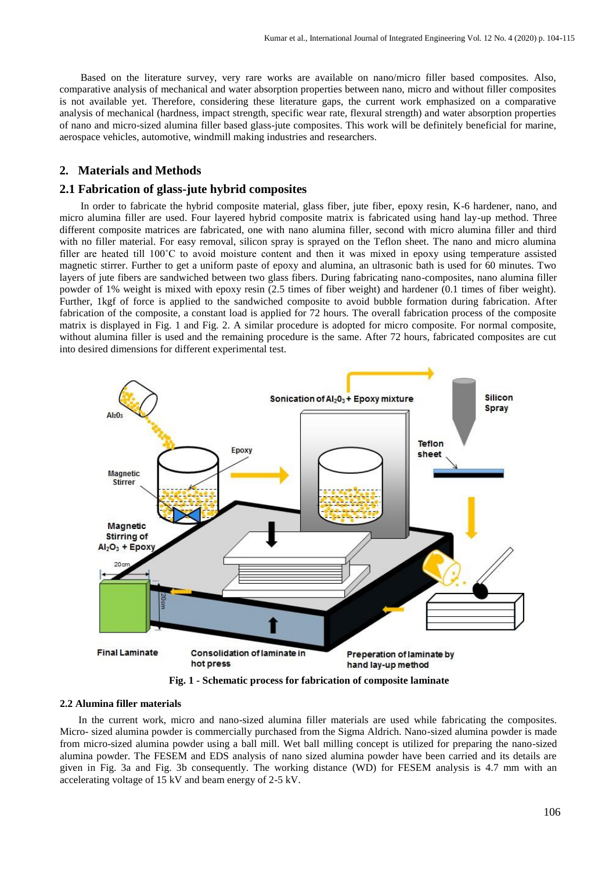Based on the literature survey, very rare works are available on nano/micro filler based composites. Also, comparative analysis of mechanical and water absorption properties between nano, micro and without filler composites is not available yet. Therefore, considering these literature gaps, the current work emphasized on a comparative analysis of mechanical (hardness, impact strength, specific wear rate, flexural strength) and water absorption properties of nano and micro-sized alumina filler based glass-jute composites. This work will be definitely beneficial for marine, aerospace vehicles, automotive, windmill making industries and researchers.

# **2. Materials and Methods**

# **2.1 Fabrication of glass-jute hybrid composites**

In order to fabricate the hybrid composite material, glass fiber, jute fiber, epoxy resin, K-6 hardener, nano, and micro alumina filler are used. Four layered hybrid composite matrix is fabricated using hand lay-up method. Three different composite matrices are fabricated, one with nano alumina filler, second with micro alumina filler and third with no filler material. For easy removal, silicon spray is sprayed on the Teflon sheet. The nano and micro alumina filler are heated till 100°C to avoid moisture content and then it was mixed in epoxy using temperature assisted magnetic stirrer. Further to get a uniform paste of epoxy and alumina, an ultrasonic bath is used for 60 minutes. Two layers of jute fibers are sandwiched between two glass fibers. During fabricating nano-composites, nano alumina filler powder of 1% weight is mixed with epoxy resin (2.5 times of fiber weight) and hardener (0.1 times of fiber weight). Further, 1kgf of force is applied to the sandwiched composite to avoid bubble formation during fabrication. After fabrication of the composite, a constant load is applied for 72 hours. The overall fabrication process of the composite matrix is displayed in Fig. 1 and Fig. 2. A similar procedure is adopted for micro composite. For normal composite, without alumina filler is used and the remaining procedure is the same. After 72 hours, fabricated composites are cut into desired dimensions for different experimental test.



**Fig. 1 - Schematic process for fabrication of composite laminate**

# **2.2 Alumina filler materials**

In the current work, micro and nano-sized alumina filler materials are used while fabricating the composites. Micro- sized alumina powder is commercially purchased from the Sigma Aldrich. Nano-sized alumina powder is made from micro-sized alumina powder using a ball mill. Wet ball milling concept is utilized for preparing the nano-sized alumina powder. The FESEM and EDS analysis of nano sized alumina powder have been carried and its details are given in Fig. 3a and Fig. 3b consequently. The working distance (WD) for FESEM analysis is 4.7 mm with an accelerating voltage of 15 kV and beam energy of 2-5 kV.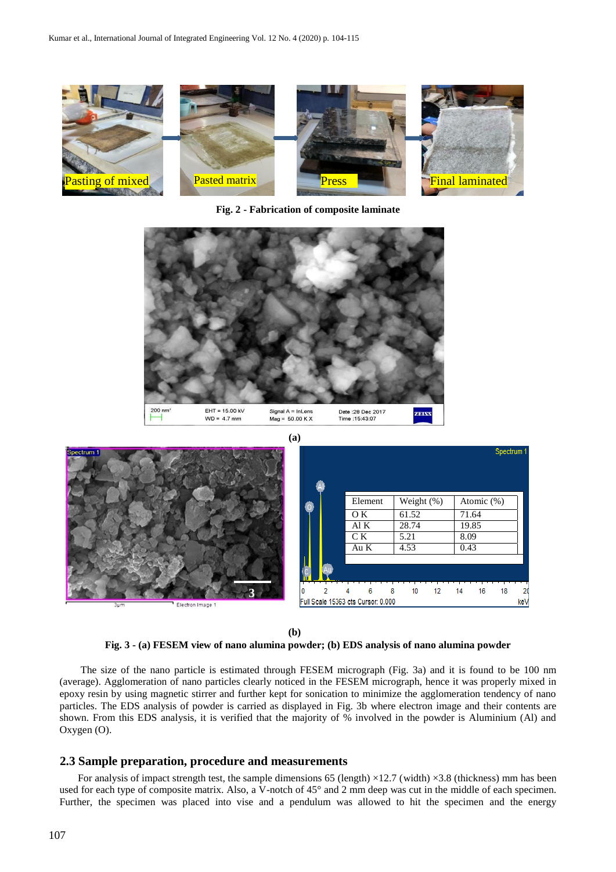

**Fig. 2 - Fabrication of composite laminate**



**(b)**

#### **Fig. 3 - (a) FESEM view of nano alumina powder; (b) EDS analysis of nano alumina powder**

The size of the nano particle is estimated through FESEM micrograph (Fig. 3a) and it is found to be 100 nm (average). Agglomeration of nano particles clearly noticed in the FESEM micrograph, hence it was properly mixed in epoxy resin by using magnetic stirrer and further kept for sonication to minimize the agglomeration tendency of nano particles. The EDS analysis of powder is carried as displayed in Fig. 3b where electron image and their contents are shown. From this EDS analysis, it is verified that the majority of % involved in the powder is Aluminium (Al) and Oxygen (O).

#### **2.3 Sample preparation, procedure and measurements**

For analysis of impact strength test, the sample dimensions 65 (length)  $\times$ 12.7 (width)  $\times$ 3.8 (thickness) mm has been used for each type of composite matrix. Also, a V-notch of 45° and 2 mm deep was cut in the middle of each specimen. Further, the specimen was placed into vise and a pendulum was allowed to hit the specimen and the energy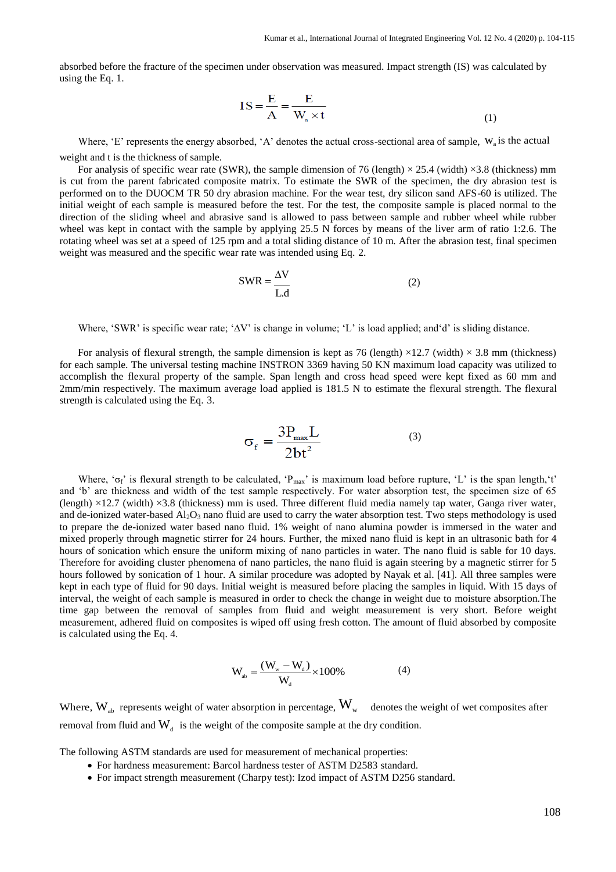absorbed before the fracture of the specimen under observation was measured. Impact strength (IS) was calculated by using the Eq. 1.

$$
IS = \frac{E}{A} = \frac{E}{W_a \times t}
$$
 (1)

Where, 'E' represents the energy absorbed, 'A' denotes the actual cross-sectional area of sample,  $W_a$  is the actual weight and t is the thickness of sample.

For analysis of specific wear rate (SWR), the sample dimension of 76 (length)  $\times$  25.4 (width)  $\times$ 3.8 (thickness) mm is cut from the parent fabricated composite matrix. To estimate the SWR of the specimen, the dry abrasion test is performed on to the DUOCM TR 50 dry abrasion machine. For the wear test, dry silicon sand AFS-60 is utilized. The initial weight of each sample is measured before the test. For the test, the composite sample is placed normal to the direction of the sliding wheel and abrasive sand is allowed to pass between sample and rubber wheel while rubber wheel was kept in contact with the sample by applying 25.5 N forces by means of the liver arm of ratio 1:2.6. The rotating wheel was set at a speed of 125 rpm and a total sliding distance of 10 m. After the abrasion test, final specimen weight was measured and the specific wear rate was intended using Eq. 2.

$$
SWR = \frac{\Delta V}{L.d}
$$
 (2)

Where, 'SWR' is specific wear rate; '∆V' is change in volume; 'L' is load applied; and 'd' is sliding distance.

For analysis of flexural strength, the sample dimension is kept as 76 (length)  $\times$ 12.7 (width)  $\times$  3.8 mm (thickness) for each sample. The universal testing machine INSTRON 3369 having 50 KN maximum load capacity was utilized to accomplish the flexural property of the sample. Span length and cross head speed were kept fixed as 60 mm and 2mm/min respectively. The maximum average load applied is 181.5 N to estimate the flexural strength. The flexural strength is calculated using the Eq. 3.

$$
\sigma_{\rm f} = \frac{3P_{\rm max}L}{2bt^2} \tag{3}
$$

Where, ' $\sigma_f$ ' is flexural strength to be calculated, 'P<sub>max</sub>' is maximum load before rupture, 'L' is the span length,'t' and 'b' are thickness and width of the test sample respectively. For water absorption test, the specimen size of 65 (length) ×12.7 (width) ×3.8 (thickness) mm is used. Three different fluid media namely tap water, Ganga river water, and de-ionized water-based  $Al_2O_3$  nano fluid are used to carry the water absorption test. Two steps methodology is used to prepare the de-ionized water based nano fluid. 1% weight of nano alumina powder is immersed in the water and mixed properly through magnetic stirrer for 24 hours. Further, the mixed nano fluid is kept in an ultrasonic bath for 4 hours of sonication which ensure the uniform mixing of nano particles in water. The nano fluid is sable for 10 days. Therefore for avoiding cluster phenomena of nano particles, the nano fluid is again steering by a magnetic stirrer for 5 hours followed by sonication of 1 hour. A similar procedure was adopted by Nayak et al. [41]. All three samples were kept in each type of fluid for 90 days. Initial weight is measured before placing the samples in liquid. With 15 days of interval, the weight of each sample is measured in order to check the change in weight due to moisture absorption.The time gap between the removal of samples from fluid and weight measurement is very short. Before weight measurement, adhered fluid on composites is wiped off using fresh cotton. The amount of fluid absorbed by composite is calculated using the Eq. 4.

$$
W_{ab} = \frac{(W_w - W_d)}{W_d} \times 100\% \tag{4}
$$

Where,  $W_{ab}$  represents weight of water absorption in percentage,  $W_{w}$  denotes the weight of wet composites after removal from fluid and  $W_d$  is the weight of the composite sample at the dry condition.

The following ASTM standards are used for measurement of mechanical properties:

- For hardness measurement: Barcol hardness tester of ASTM D2583 standard.
- For impact strength measurement (Charpy test): Izod impact of ASTM D256 standard.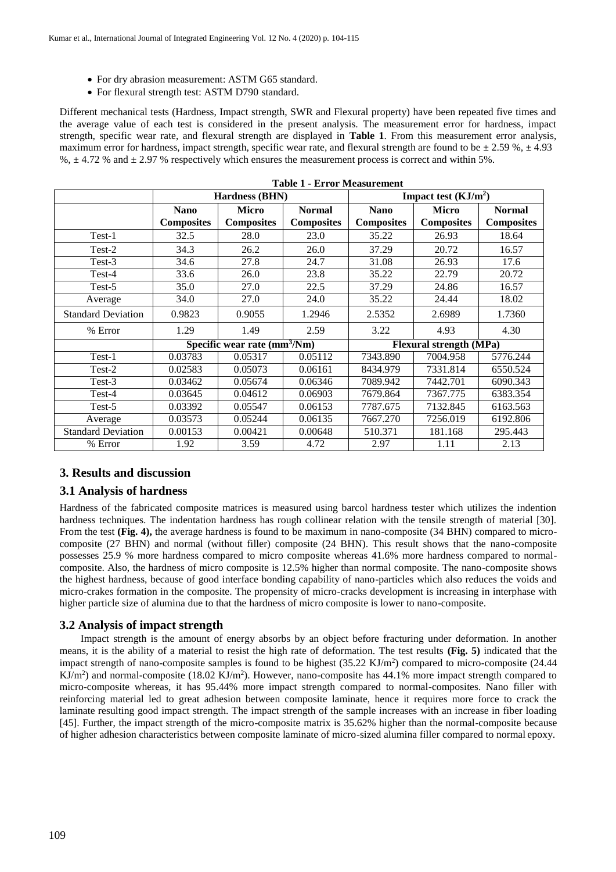- For dry abrasion measurement: ASTM G65 standard.
- For flexural strength test: ASTM D790 standard.

Different mechanical tests (Hardness, Impact strength, SWR and Flexural property) have been repeated five times and the average value of each test is considered in the present analysis. The measurement error for hardness, impact strength, specific wear rate, and flexural strength are displayed in **Table 1**. From this measurement error analysis, maximum error for hardness, impact strength, specific wear rate, and flexural strength are found to be  $\pm 2.59$  %,  $\pm 4.93$  $\%$ ,  $\pm$  4.72 % and  $\pm$  2.97 % respectively which ensures the measurement process is correct and within 5%.

|                           | Hardness (BHN)                |                   |                                | Impact test $(KJ/m2)$ |                   |                   |
|---------------------------|-------------------------------|-------------------|--------------------------------|-----------------------|-------------------|-------------------|
|                           | <b>Nano</b>                   | <b>Micro</b>      | <b>Normal</b>                  | <b>Nano</b>           | <b>Micro</b>      | <b>Normal</b>     |
|                           | <b>Composites</b>             | <b>Composites</b> | <b>Composites</b>              | <b>Composites</b>     | <b>Composites</b> | <b>Composites</b> |
| Test-1                    | 32.5                          | 28.0              | 23.0                           | 35.22                 | 26.93             | 18.64             |
| Test-2                    | 34.3                          | 26.2              | 26.0                           | 37.29                 | 20.72             | 16.57             |
| Test-3                    | 34.6                          | 27.8              | 24.7                           | 31.08                 | 26.93             | 17.6              |
| Test-4                    | 33.6                          | 26.0              | 23.8                           | 35.22                 | 22.79             | 20.72             |
| Test-5                    | 35.0                          | 27.0              | 22.5                           | 37.29                 | 24.86             | 16.57             |
| Average                   | 34.0                          | 27.0              | 24.0                           | 35.22                 | 24.44             | 18.02             |
| <b>Standard Deviation</b> | 0.9823                        | 0.9055            | 1.2946                         | 2.5352                | 2.6989            | 1.7360            |
| % Error                   | 1.29                          | 1.49              | 2.59                           | 3.22                  | 4.93              | 4.30              |
|                           | Specific wear rate $(mm3/Nm)$ |                   | <b>Flexural strength (MPa)</b> |                       |                   |                   |
| Test-1                    | 0.03783                       | 0.05317           | 0.05112                        | 7343.890              | 7004.958          | 5776.244          |
| Test-2                    | 0.02583                       | 0.05073           | 0.06161                        | 8434.979              | 7331.814          | 6550.524          |
| Test-3                    | 0.03462                       | 0.05674           | 0.06346                        | 7089.942              | 7442.701          | 6090.343          |
| Test-4                    | 0.03645                       | 0.04612           | 0.06903                        | 7679.864              | 7367.775          | 6383.354          |
| Test-5                    | $\overline{0.03392}$          | 0.05547           | 0.06153                        | 7787.675              | 7132.845          | 6163.563          |
| Average                   | 0.03573                       | 0.05244           | 0.06135                        | 7667.270              | 7256.019          | 6192.806          |
| <b>Standard Deviation</b> | 0.00153                       | 0.00421           | 0.00648                        | 510.371               | 181.168           | 295.443           |
| % Error                   | 1.92                          | 3.59              | 4.72                           | 2.97                  | 1.11              | 2.13              |

|  |  | <b>Table 1 - Error Measurement</b> |
|--|--|------------------------------------|
|--|--|------------------------------------|

# **3. Results and discussion**

#### **3.1 Analysis of hardness**

Hardness of the fabricated composite matrices is measured using barcol hardness tester which utilizes the indention hardness techniques. The indentation hardness has rough collinear relation with the tensile strength of material [30]. From the test **(Fig. 4),** the average hardness is found to be maximum in nano-composite (34 BHN) compared to microcomposite (27 BHN) and normal (without filler) composite (24 BHN). This result shows that the nano-composite possesses 25.9 % more hardness compared to micro composite whereas 41.6% more hardness compared to normalcomposite. Also, the hardness of micro composite is 12.5% higher than normal composite. The nano-composite shows the highest hardness, because of good interface bonding capability of nano-particles which also reduces the voids and micro-crakes formation in the composite. The propensity of micro-cracks development is increasing in interphase with higher particle size of alumina due to that the hardness of micro composite is lower to nano-composite.

#### **3.2 Analysis of impact strength**

Impact strength is the amount of energy absorbs by an object before fracturing under deformation. In another means, it is the ability of a material to resist the high rate of deformation. The test results **(Fig. 5)** indicated that the impact strength of nano-composite samples is found to be highest  $(35.22 \text{ KJ/m}^2)$  compared to micro-composite  $(24.44 \text{ K})$  $KJ/m<sup>2</sup>$ ) and normal-composite (18.02 KJ/m<sup>2</sup>). However, nano-composite has 44.1% more impact strength compared to micro-composite whereas, it has 95.44% more impact strength compared to normal-composites. Nano filler with reinforcing material led to great adhesion between composite laminate, hence it requires more force to crack the laminate resulting good impact strength. The impact strength of the sample increases with an increase in fiber loading [45]. Further, the impact strength of the micro-composite matrix is 35.62% higher than the normal-composite because of higher adhesion characteristics between composite laminate of micro-sized alumina filler compared to normal epoxy.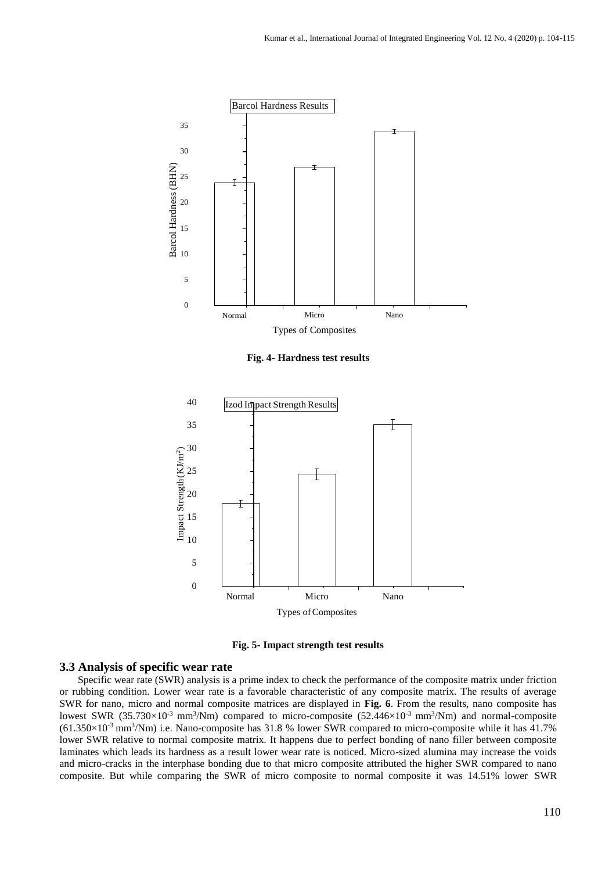

**Fig. 4- Hardness test results**



**Fig. 5- Impact strength test results**

#### **3.3 Analysis of specific wear rate**

Specific wear rate (SWR) analysis is a prime index to check the performance of the composite matrix under friction or rubbing condition. Lower wear rate is a favorable characteristic of any composite matrix. The results of average SWR for nano, micro and normal composite matrices are displayed in **Fig. 6**. From the results, nano composite has lowest SWR  $(35.730\times10^{-3} \text{ mm}^3/\text{Nm})$  compared to micro-composite  $(52.446\times10^{-3} \text{ mm}^3/\text{Nm})$  and normal-composite  $(61.350\times10^{-3} \text{ mm}^3/\text{Nm})$  i.e. Nano-composite has 31.8 % lower SWR compared to micro-composite while it has 41.7% lower SWR relative to normal composite matrix. It happens due to perfect bonding of nano filler between composite laminates which leads its hardness as a result lower wear rate is noticed. Micro-sized alumina may increase the voids and micro-cracks in the interphase bonding due to that micro composite attributed the higher SWR compared to nano composite. But while comparing the SWR of micro composite to normal composite it was 14.51% lower SWR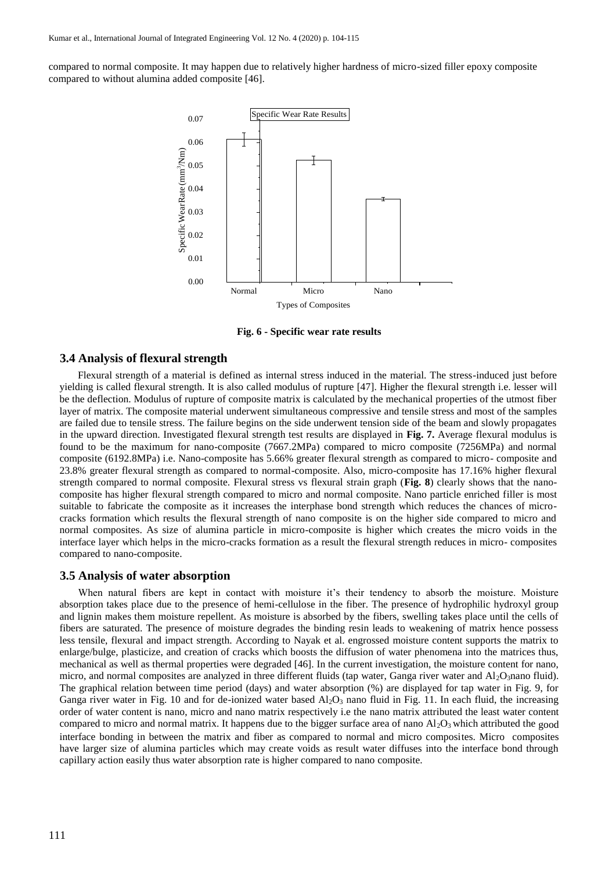compared to normal composite. It may happen due to relatively higher hardness of micro-sized filler epoxy composite compared to without alumina added composite [46].



**Fig. 6 - Specific wear rate results**

# **3.4 Analysis of flexural strength**

Flexural strength of a material is defined as internal stress induced in the material. The stress-induced just before yielding is called flexural strength. It is also called modulus of rupture [47]. Higher the flexural strength i.e. lesser will be the deflection. Modulus of rupture of composite matrix is calculated by the mechanical properties of the utmost fiber layer of matrix. The composite material underwent simultaneous compressive and tensile stress and most of the samples are failed due to tensile stress. The failure begins on the side underwent tension side of the beam and slowly propagates in the upward direction. Investigated flexural strength test results are displayed in **Fig. 7.** Average flexural modulus is found to be the maximum for nano-composite (7667.2MPa) compared to micro composite (7256MPa) and normal composite (6192.8MPa) i.e. Nano-composite has 5.66% greater flexural strength as compared to micro- composite and 23.8% greater flexural strength as compared to normal-composite. Also, micro-composite has 17.16% higher flexural strength compared to normal composite. Flexural stress vs flexural strain graph (**Fig. 8**) clearly shows that the nanocomposite has higher flexural strength compared to micro and normal composite. Nano particle enriched filler is most suitable to fabricate the composite as it increases the interphase bond strength which reduces the chances of microcracks formation which results the flexural strength of nano composite is on the higher side compared to micro and normal composites. As size of alumina particle in micro-composite is higher which creates the micro voids in the interface layer which helps in the micro-cracks formation as a result the flexural strength reduces in micro- composites compared to nano-composite.

#### **3.5 Analysis of water absorption**

When natural fibers are kept in contact with moisture it's their tendency to absorb the moisture. Moisture absorption takes place due to the presence of hemi-cellulose in the fiber. The presence of hydrophilic hydroxyl group and lignin makes them moisture repellent. As moisture is absorbed by the fibers, swelling takes place until the cells of fibers are saturated. The presence of moisture degrades the binding resin leads to weakening of matrix hence possess less tensile, flexural and impact strength. According to Nayak et al. engrossed moisture content supports the matrix to enlarge/bulge, plasticize, and creation of cracks which boosts the diffusion of water phenomena into the matrices thus, mechanical as well as thermal properties were degraded [46]. In the current investigation, the moisture content for nano, micro, and normal composites are analyzed in three different fluids (tap water, Ganga river water and  $Al_2O_3$ nano fluid). The graphical relation between time period (days) and water absorption (%) are displayed for tap water in Fig. 9, for Ganga river water in Fig. 10 and for de-ionized water based  $A_2O_3$  nano fluid in Fig. 11. In each fluid, the increasing order of water content is nano, micro and nano matrix respectively i.e the nano matrix attributed the least water content compared to micro and normal matrix. It happens due to the bigger surface area of nano  $Al_2O_3$  which attributed the good interface bonding in between the matrix and fiber as compared to normal and micro composites. Micro composites have larger size of alumina particles which may create voids as result water diffuses into the interface bond through capillary action easily thus water absorption rate is higher compared to nano composite.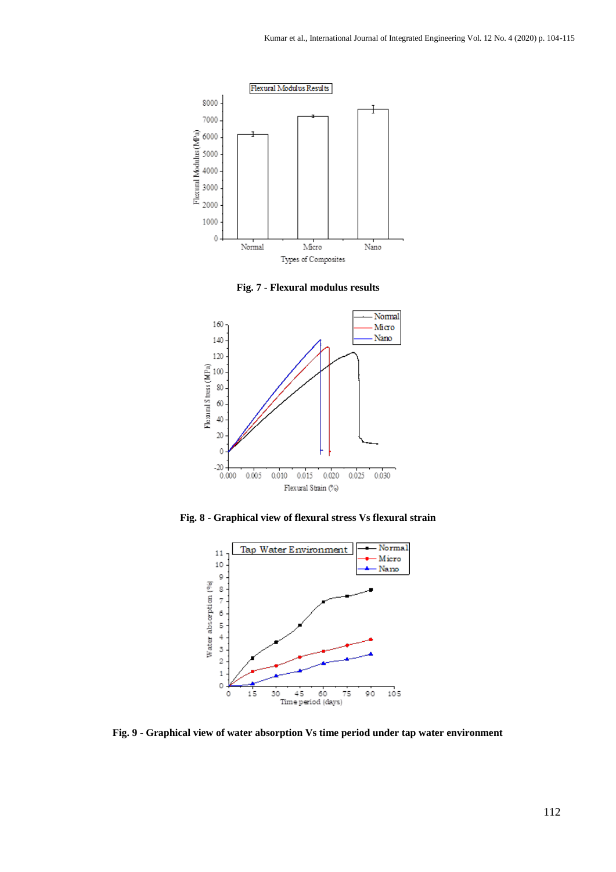

**Fig. 7 - Flexural modulus results**



**Fig. 8 - Graphical view of flexural stress Vs flexural strain**



**Fig. 9 - Graphical view of water absorption Vs time period under tap water environment**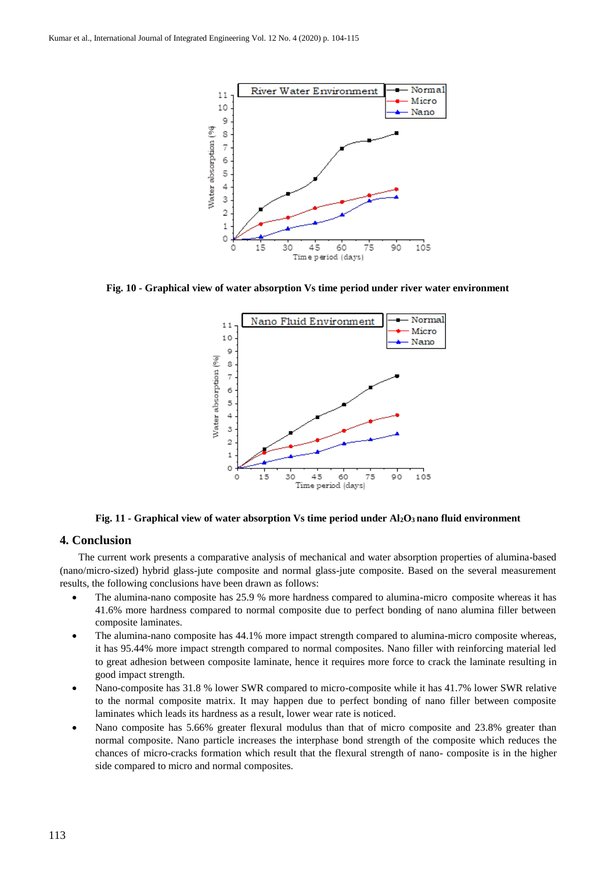

**Fig. 10 - Graphical view of water absorption Vs time period under river water environment**



**Fig. 11 - Graphical view of water absorption Vs time period under Al2O3 nano fluid environment**

# **4. Conclusion**

The current work presents a comparative analysis of mechanical and water absorption properties of alumina-based (nano/micro-sized) hybrid glass-jute composite and normal glass-jute composite. Based on the several measurement results, the following conclusions have been drawn as follows:

- The alumina-nano composite has 25.9 % more hardness compared to alumina-micro composite whereas it has 41.6% more hardness compared to normal composite due to perfect bonding of nano alumina filler between composite laminates.
- The alumina-nano composite has 44.1% more impact strength compared to alumina-micro composite whereas, it has 95.44% more impact strength compared to normal composites. Nano filler with reinforcing material led to great adhesion between composite laminate, hence it requires more force to crack the laminate resulting in good impact strength.
- Nano-composite has 31.8 % lower SWR compared to micro-composite while it has 41.7% lower SWR relative to the normal composite matrix. It may happen due to perfect bonding of nano filler between composite laminates which leads its hardness as a result, lower wear rate is noticed.
- Nano composite has 5.66% greater flexural modulus than that of micro composite and 23.8% greater than normal composite. Nano particle increases the interphase bond strength of the composite which reduces the chances of micro-cracks formation which result that the flexural strength of nano- composite is in the higher side compared to micro and normal composites.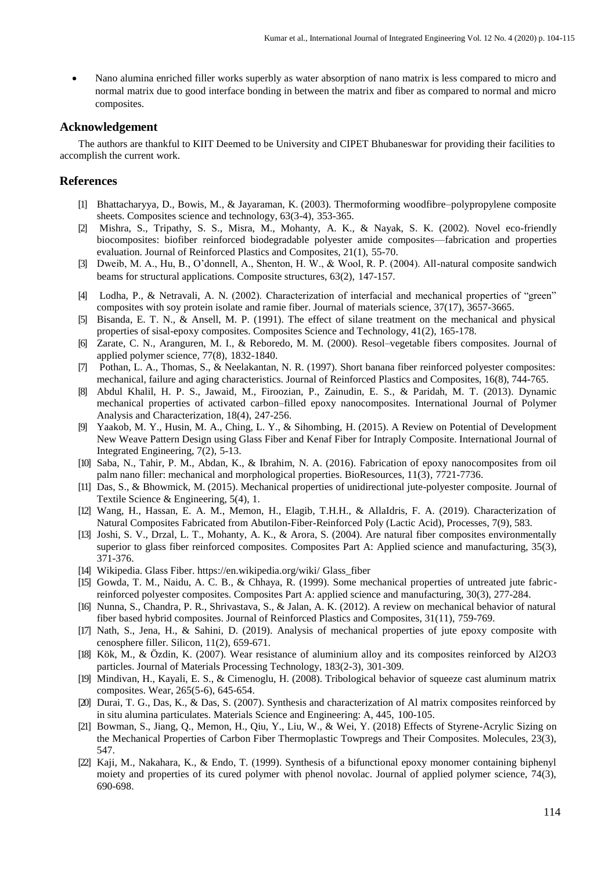Nano alumina enriched filler works superbly as water absorption of nano matrix is less compared to micro and normal matrix due to good interface bonding in between the matrix and fiber as compared to normal and micro composites.

# **Acknowledgement**

The authors are thankful to KIIT Deemed to be University and CIPET Bhubaneswar for providing their facilities to accomplish the current work.

# **References**

- [1] Bhattacharyya, D., Bowis, M., & Jayaraman, K. (2003). Thermoforming woodfibre–polypropylene composite sheets. Composites science and technology, 63(3-4), 353-365.
- [2] Mishra, S., Tripathy, S. S., Misra, M., Mohanty, A. K., & Nayak, S. K. (2002). Novel eco-friendly biocomposites: biofiber reinforced biodegradable polyester amide composites—fabrication and properties evaluation. Journal of Reinforced Plastics and Composites, 21(1), 55-70.
- [3] Dweib, M. A., Hu, B., O'donnell, A., Shenton, H. W., & Wool, R. P. (2004). All-natural composite sandwich beams for structural applications. Composite structures, 63(2), 147-157.
- [4] Lodha, P., & Netravali, A. N. (2002). Characterization of interfacial and mechanical properties of "green" composites with soy protein isolate and ramie fiber. Journal of materials science, 37(17), 3657-3665.
- [5] Bisanda, E. T. N., & Ansell, M. P. (1991). The effect of silane treatment on the mechanical and physical properties of sisal-epoxy composites. Composites Science and Technology, 41(2), 165-178.
- [6] Zarate, C. N., Aranguren, M. I., & Reboredo, M. M. (2000). Resol–vegetable fibers composites. Journal of applied polymer science, 77(8), 1832-1840.
- [7] Pothan, L. A., Thomas, S., & Neelakantan, N. R. (1997). Short banana fiber reinforced polyester composites: mechanical, failure and aging characteristics. Journal of Reinforced Plastics and Composites, 16(8), 744-765.
- [8] Abdul Khalil, H. P. S., Jawaid, M., Firoozian, P., Zainudin, E. S., & Paridah, M. T. (2013). Dynamic mechanical properties of activated carbon–filled epoxy nanocomposites. International Journal of Polymer Analysis and Characterization, 18(4), 247-256.
- [9] Yaakob, M. Y., Husin, M. A., Ching, L. Y., & Sihombing, H. (2015). A Review on Potential of Development New Weave Pattern Design using Glass Fiber and Kenaf Fiber for Intraply Composite. International Journal of Integrated Engineering, 7(2), 5-13.
- [10] Saba, N., Tahir, P. M., Abdan, K., & Ibrahim, N. A. (2016). Fabrication of epoxy nanocomposites from oil palm nano filler: mechanical and morphological properties. BioResources, 11(3), 7721-7736.
- [11] Das, S., & Bhowmick, M. (2015). Mechanical properties of unidirectional jute-polyester composite. Journal of Textile Science & Engineering, 5(4), 1.
- [12] Wang, H., Hassan, E. A. M., Memon, H., Elagib, T.H.H., & AllaIdris, F. A. (2019). Characterization of Natural Composites Fabricated from Abutilon-Fiber-Reinforced Poly (Lactic Acid), Processes, 7(9), 583.
- [13] Joshi, S. V., Drzal, L. T., Mohanty, A. K., & Arora, S. (2004). Are natural fiber composites environmentally superior to glass fiber reinforced composites. Composites Part A: Applied science and manufacturing, 35(3), 371-376.
- [14] Wikipedia. Glass Fiber. https://en.wikipedia.org/wiki/ Glass\_fiber
- [15] Gowda, T. M., Naidu, A. C. B., & Chhaya, R. (1999). Some mechanical properties of untreated jute fabricreinforced polyester composites. Composites Part A: applied science and manufacturing, 30(3), 277-284.
- [16] Nunna, S., Chandra, P. R., Shrivastava, S., & Jalan, A. K. (2012). A review on mechanical behavior of natural fiber based hybrid composites. Journal of Reinforced Plastics and Composites, 31(11), 759-769.
- [17] Nath, S., Jena, H., & Sahini, D. (2019). Analysis of mechanical properties of jute epoxy composite with cenosphere filler. Silicon, 11(2), 659-671.
- [18] Kök, M., & Özdin, K. (2007). Wear resistance of aluminium alloy and its composites reinforced by Al2O3 particles. Journal of Materials Processing Technology, 183(2-3), 301-309.
- [19] Mindivan, H., Kayali, E. S., & Cimenoglu, H. (2008). Tribological behavior of squeeze cast aluminum matrix composites. Wear, 265(5-6), 645-654.
- [20] Durai, T. G., Das, K., & Das, S. (2007). Synthesis and characterization of Al matrix composites reinforced by in situ alumina particulates. Materials Science and Engineering: A, 445, 100-105.
- [21] Bowman, S., Jiang, Q., Memon, H., Qiu, Y., Liu, W., & Wei, Y. (2018) Effects of Styrene-Acrylic Sizing on the Mechanical Properties of Carbon Fiber Thermoplastic Towpregs and Their Composites. Molecules, 23(3), 547.
- [22] Kaji, M., Nakahara, K., & Endo, T. (1999). Synthesis of a bifunctional epoxy monomer containing biphenyl moiety and properties of its cured polymer with phenol novolac. Journal of applied polymer science, 74(3), 690-698.